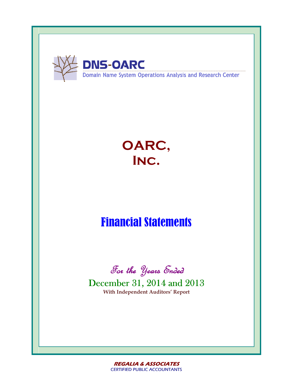



# Financial Statements



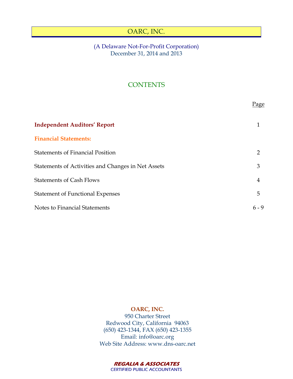# (A Delaware Not-For-Profit Corporation) December 31, 2014 and 2013

# **CONTENTS**

|                                                    | Page           |
|----------------------------------------------------|----------------|
| <b>Independent Auditors' Report</b>                | 1              |
| <b>Financial Statements:</b>                       |                |
| <b>Statements of Financial Position</b>            | $\overline{2}$ |
| Statements of Activities and Changes in Net Assets | 3              |
| <b>Statements of Cash Flows</b>                    | $\overline{4}$ |
| <b>Statement of Functional Expenses</b>            | 5              |
| Notes to Financial Statements                      | $6 - 9$        |

# **OARC, INC.**

950 Charter Street Redwood City, California 94063 (650) 423-1344, FAX (650) 423-1355 Email: info@oarc.org Web Site Address: www.dns-oarc.net

> **REGALIA & ASSOCIATES**  *CERTIFIED PUBLIC ACCOUNTANTS CERTIFIED PUBLIC ACCOUNTANTS*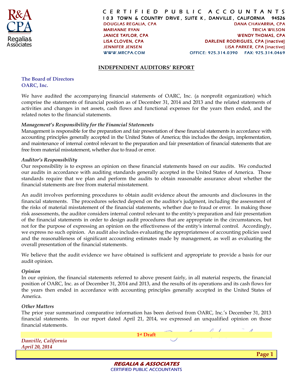

#### **INDEPENDENT AUDITORS' REPORT**

#### **The Board of Directors OARC, Inc.**

We have audited the accompanying financial statements of OARC, Inc. (a nonprofit organization) which comprise the statements of financial position as of December 31, 2014 and 2013 and the related statements of activities and changes in net assets, cash flows and functional expenses for the years then ended, and the related notes to the financial statements.

#### *Management's Responsibility for the Financial Statements*

Management is responsible for the preparation and fair presentation of these financial statements in accordance with accounting principles generally accepted in the United States of America; this includes the design, implementation, and maintenance of internal control relevant to the preparation and fair presentation of financial statements that are free from material misstatement, whether due to fraud or error.

#### *Auditor's Responsibility*

Our responsibility is to express an opinion on these financial statements based on our audits. We conducted our audits in accordance with auditing standards generally accepted in the United States of America. Those standards require that we plan and perform the audits to obtain reasonable assurance about whether the financial statements are free from material misstatement.

An audit involves performing procedures to obtain audit evidence about the amounts and disclosures in the financial statements. The procedures selected depend on the auditor's judgment, including the assessment of the risks of material misstatement of the financial statements, whether due to fraud or error. In making those risk assessments, the auditor considers internal control relevant to the entity's preparation and fair presentation of the financial statements in order to design audit procedures that are appropriate in the circumstances, but not for the purpose of expressing an opinion on the effectiveness of the entity's internal control. Accordingly, we express no such opinion. An audit also includes evaluating the appropriateness of accounting policies used and the reasonableness of significant accounting estimates made by management, as well as evaluating the overall presentation of the financial statements.

We believe that the audit evidence we have obtained is sufficient and appropriate to provide a basis for our audit opinion.

### *Opinion*

In our opinion, the financial statements referred to above present fairly, in all material respects, the financial position of OARC, Inc. as of December 31, 2014 and 2013, and the results of its operations and its cash flows for the years then ended in accordance with accounting principles generally accepted in the United States of America.

#### *Other Matters*

The prior year summarized comparative information has been derived from OARC, Inc.'s December 31, 2013 financial statements. In our report dated April 21, 2014, we expressed an unqualified opinion on those financial statements.

|                                        | 1st Draft |        |
|----------------------------------------|-----------|--------|
| Danville, California<br>April 20, 2014 |           |        |
|                                        |           | Page 1 |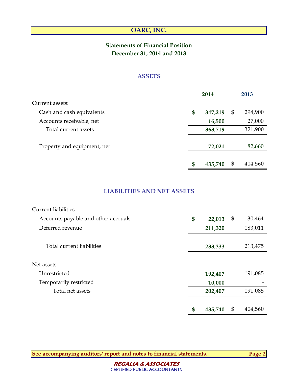# **Statements of Financial Position December 31, 2014 and 2013**

### **ASSETS**

|                             | 2014          | 2013          |
|-----------------------------|---------------|---------------|
| Current assets:             |               |               |
| Cash and cash equivalents   | \$<br>347,219 | \$<br>294,900 |
| Accounts receivable, net    | 16,500        | 27,000        |
| Total current assets        | 363,719       | 321,900       |
| Property and equipment, net | 72,021        | 82,660        |
|                             | \$<br>435,740 | \$<br>404,560 |

### **LIABILITIES AND NET ASSETS**

| Current liabilities:                |               |               |
|-------------------------------------|---------------|---------------|
| Accounts payable and other accruals | \$<br>22,013  | \$<br>30,464  |
| Deferred revenue                    | 211,320       | 183,011       |
| Total current liabilities           | 233,333       | 213,475       |
| Net assets:                         |               |               |
| Unrestricted                        | 192,407       | 191,085       |
| Temporarily restricted              | 10,000        |               |
| Total net assets                    | 202,407       | 191,085       |
|                                     | \$<br>435,740 | \$<br>404,560 |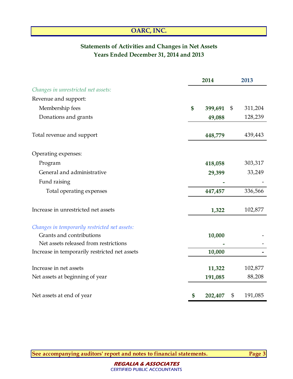# **Statements of Activities and Changes in Net Assets Years Ended December 31, 2014 and 2013**

|                                               | 2014 |         |    | 2013    |  |  |
|-----------------------------------------------|------|---------|----|---------|--|--|
| Changes in unrestricted net assets:           |      |         |    |         |  |  |
| Revenue and support:                          |      |         |    |         |  |  |
| Membership fees                               | \$   | 399,691 | \$ | 311,204 |  |  |
| Donations and grants                          |      | 49,088  |    | 128,239 |  |  |
| Total revenue and support                     |      | 448,779 |    | 439,443 |  |  |
| Operating expenses:                           |      |         |    |         |  |  |
| Program                                       |      | 418,058 |    | 303,317 |  |  |
| General and administrative                    |      | 29,399  |    | 33,249  |  |  |
| Fund raising                                  |      |         |    |         |  |  |
| Total operating expenses                      |      | 447,457 |    | 336,566 |  |  |
| Increase in unrestricted net assets           |      | 1,322   |    | 102,877 |  |  |
| Changes in temporarily restricted net assets: |      |         |    |         |  |  |
| Grants and contributions                      |      | 10,000  |    |         |  |  |
| Net assets released from restrictions         |      |         |    |         |  |  |
| Increase in temporarily restricted net assets |      | 10,000  |    |         |  |  |
| Increase in net assets                        |      | 11,322  |    | 102,877 |  |  |
| Net assets at beginning of year               |      | 191,085 |    | 88,208  |  |  |
| Net assets at end of year                     | \$   | 202,407 | \$ | 191,085 |  |  |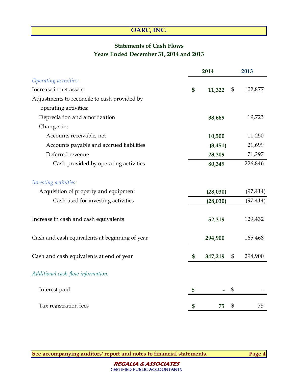# **Statements of Cash Flows Years Ended December 31, 2014 and 2013**

| 2014                                           |    |           | 2013 |           |  |
|------------------------------------------------|----|-----------|------|-----------|--|
| Operating activities:                          |    |           |      |           |  |
| Increase in net assets                         | \$ | 11,322    | \$   | 102,877   |  |
| Adjustments to reconcile to cash provided by   |    |           |      |           |  |
| operating activities:                          |    |           |      |           |  |
| Depreciation and amortization                  |    | 38,669    |      | 19,723    |  |
| Changes in:                                    |    |           |      |           |  |
| Accounts receivable, net                       |    | 10,500    |      | 11,250    |  |
| Accounts payable and accrued liabilities       |    | (8, 451)  |      | 21,699    |  |
| Deferred revenue                               |    | 28,309    |      | 71,297    |  |
| Cash provided by operating activities          |    | 80,349    |      | 226,846   |  |
| Investing activities:                          |    |           |      |           |  |
| Acquisition of property and equipment          |    | (28, 030) |      | (97, 414) |  |
| Cash used for investing activities             |    | (28,030)  |      | (97, 414) |  |
| Increase in cash and cash equivalents          |    | 52,319    |      | 129,432   |  |
| Cash and cash equivalents at beginning of year |    | 294,900   |      | 165,468   |  |
| Cash and cash equivalents at end of year       | \$ | 347,219   | \$   | 294,900   |  |
| Additional cash flow information:              |    |           |      |           |  |
| Interest paid                                  | \$ |           | \$   |           |  |
| Tax registration fees                          | \$ | 75        | \$   | 75        |  |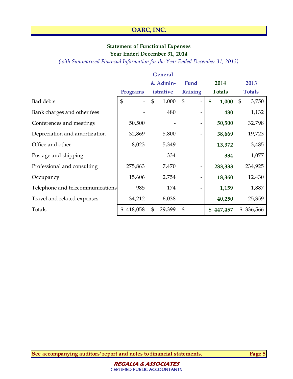# **Statement of Functional Expenses**

# **Year Ended December 31, 2014**

*(with Summarized Financial Information for the Year Ended December 31, 2013)*

|                                  |                |                | <b>General</b> |                |                |               |                |               |
|----------------------------------|----------------|----------------|----------------|----------------|----------------|---------------|----------------|---------------|
|                                  |                |                | & Admin-       |                | Fund           | 2014          |                | 2013          |
|                                  | Programs       |                | istrative      |                | <b>Raising</b> | <b>Totals</b> |                | <b>Totals</b> |
| <b>Bad debts</b>                 | $\mathfrak{S}$ | \$             | 1,000          | $\mathfrak{S}$ |                | \$<br>1,000   | $\mathfrak{S}$ | 3,750         |
| Bank charges and other fees      |                |                | 480            |                |                | 480           |                | 1,132         |
| Conferences and meetings         | 50,500         |                |                |                |                | 50,500        |                | 32,798        |
| Depreciation and amortization    | 32,869         |                | 5,800          |                |                | 38,669        |                | 19,723        |
| Office and other                 | 8,023          |                | 5,349          |                |                | 13,372        |                | 3,485         |
| Postage and shipping             |                |                | 334            |                | -              | 334           |                | 1,077         |
| Professional and consulting      | 275,863        |                | 7,470          |                |                | 283,333       |                | 234,925       |
| Occupancy                        | 15,606         |                | 2,754          |                |                | 18,360        |                | 12,430        |
| Telephone and telecommunications | 985            |                | 174            |                |                | 1,159         |                | 1,887         |
| Travel and related expenses      | 34,212         |                | 6,038          |                |                | 40,250        |                | 25,359        |
| Totals                           | 418,058        | $\mathfrak{S}$ | 29,399         | \$             |                | \$<br>447,457 | \$             | 336,566       |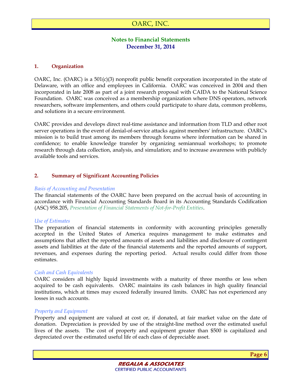# **Notes to Financial Statements December 31, 2014**

#### **1. Organization**

OARC, Inc. (OARC) is a  $501(c)(3)$  nonprofit public benefit corporation incorporated in the state of Delaware, with an office and employees in California. OARC was conceived in 2004 and then incorporated in late 2008 as part of a joint research proposal with CAIDA to the National Science Foundation. OARC was conceived as a membership organization where DNS operators, network researchers, software implementers, and others could participate to share data, common problems, and solutions in a secure environment.

OARC provides and develops direct real-time assistance and information from TLD and other root server operations in the event of denial-of-service attacks against members' infrastructure. OARC's mission is to build trust among its members through forums where information can be shared in confidence; to enable knowledge transfer by organizing semiannual workshops; to promote research through data collection, analysis, and simulation; and to increase awareness with publicly available tools and services.

### **2. Summary of Significant Accounting Policies**

#### *Basis of Accounting and Presentation*

The financial statements of the OARC have been prepared on the accrual basis of accounting in accordance with Financial Accounting Standards Board in its Accounting Standards Codification (ASC) 958.205, *Presentation of Financial Statements of Not-for-Profit Entities*.

### *Use of Estimates*

The preparation of financial statements in conformity with accounting principles generally accepted in the United States of America requires management to make estimates and assumptions that affect the reported amounts of assets and liabilities and disclosure of contingent assets and liabilities at the date of the financial statements and the reported amounts of support, revenues, and expenses during the reporting period. Actual results could differ from those estimates.

#### *Cash and Cash Equivalents*

OARC considers all highly liquid investments with a maturity of three months or less when acquired to be cash equivalents. OARC maintains its cash balances in high quality financial institutions, which at times may exceed federally insured limits. OARC has not experienced any losses in such accounts.

#### *Property and Equipment*

Property and equipment are valued at cost or, if donated, at fair market value on the date of donation. Depreciation is provided by use of the straight-line method over the estimated useful lives of the assets. The cost of property and equipment greater than \$500 is capitalized and depreciated over the estimated useful life of each class of depreciable asset.

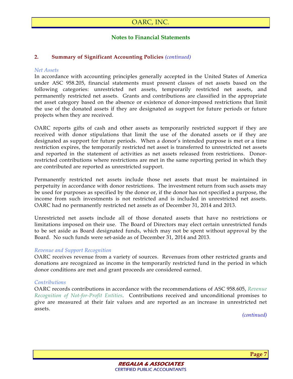### **Notes to Financial Statements**

### **2. Summary of Significant Accounting Policies** *(continued)*

#### *Net Assets*

In accordance with accounting principles generally accepted in the United States of America under ASC 958.205, financial statements must present classes of net assets based on the following categories: unrestricted net assets, temporarily restricted net assets, and permanently restricted net assets. Grants and contributions are classified in the appropriate net asset category based on the absence or existence of donor-imposed restrictions that limit the use of the donated assets if they are designated as support for future periods or future projects when they are received.

OARC reports gifts of cash and other assets as temporarily restricted support if they are received with donor stipulations that limit the use of the donated assets or if they are designated as support for future periods. When a donor's intended purpose is met or a time restriction expires, the temporarily restricted net asset is transferred to unrestricted net assets and reported in the statement of activities as net assets released from restrictions. Donorrestricted contributions where restrictions are met in the same reporting period in which they are contributed are reported as unrestricted support.

Permanently restricted net assets include those net assets that must be maintained in perpetuity in accordance with donor restrictions. The investment return from such assets may be used for purposes as specified by the donor or, if the donor has not specified a purpose, the income from such investments is not restricted and is included in unrestricted net assets. OARC had no permanently restricted net assets as of December 31, 2014 and 2013.

Unrestricted net assets include all of those donated assets that have no restrictions or limitations imposed on their use. The Board of Directors may elect certain unrestricted funds to be set aside as Board designated funds, which may not be spent without approval by the Board. No such funds were set-aside as of December 31, 2014 and 2013.

#### *Revenue and Support Recognition*

OARC receives revenue from a variety of sources. Revenues from other restricted grants and donations are recognized as income in the temporarily restricted fund in the period in which donor conditions are met and grant proceeds are considered earned.

#### *Contributions*

OARC records contributions in accordance with the recommendations of ASC 958.605, *Revenue Recognition of Not-for-Profit Entities*. Contributions received and unconditional promises to give are measured at their fair values and are reported as an increase in unrestricted net assets.

*(continued)* 



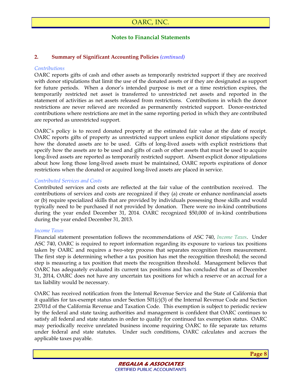### **Notes to Financial Statements**

### **2. Summary of Significant Accounting Policies** *(continued)*

#### *Contributions*

OARC reports gifts of cash and other assets as temporarily restricted support if they are received with donor stipulations that limit the use of the donated assets or if they are designated as support for future periods. When a donor's intended purpose is met or a time restriction expires, the temporarily restricted net asset is transferred to unrestricted net assets and reported in the statement of activities as net assets released from restrictions. Contributions in which the donor restrictions are never relieved are recorded as permanently restricted support. Donor-restricted contributions where restrictions are met in the same reporting period in which they are contributed are reported as unrestricted support.

OARC's policy is to record donated property at the estimated fair value at the date of receipt. OARC reports gifts of property as unrestricted support unless explicit donor stipulations specify how the donated assets are to be used. Gifts of long-lived assets with explicit restrictions that specify how the assets are to be used and gifts of cash or other assets that must be used to acquire long-lived assets are reported as temporarily restricted support. Absent explicit donor stipulations about how long those long-lived assets must be maintained, OARC reports expirations of donor restrictions when the donated or acquired long-lived assets are placed in service.

#### *Contributed Services and Costs*

Contributed services and costs are reflected at the fair value of the contribution received. The contributions of services and costs are recognized if they (a) create or enhance nonfinancial assets or (b) require specialized skills that are provided by individuals possessing those skills and would typically need to be purchased if not provided by donation. There were no in-kind contributions during the year ended December 31, 2014. OARC recognized \$50,000 of in-kind contributions during the year ended December 31, 2013.

#### *Income Taxes*

Financial statement presentation follows the recommendations of ASC 740, *Income Taxes*. Under ASC 740, OARC is required to report information regarding its exposure to various tax positions taken by OARC and requires a two-step process that separates recognition from measurement. The first step is determining whether a tax position has met the recognition threshold; the second step is measuring a tax position that meets the recognition threshold. Management believes that OARC has adequately evaluated its current tax positions and has concluded that as of December 31, 2014, OARC does not have any uncertain tax positions for which a reserve or an accrual for a tax liability would be necessary.

OARC has received notification from the Internal Revenue Service and the State of California that it qualifies for tax-exempt status under Section 501(c)(3) of the Internal Revenue Code and Section 23701d of the California Revenue and Taxation Code. This exemption is subject to periodic review by the federal and state taxing authorities and management is confident that OARC continues to satisfy all federal and state statutes in order to qualify for continued tax exemption status. OARC may periodically receive unrelated business income requiring OARC to file separate tax returns under federal and state statutes. Under such conditions, OARC calculates and accrues the applicable taxes payable.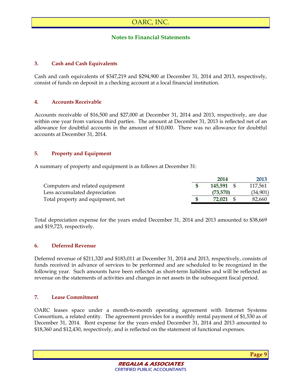# **Notes to Financial Statements**

### **3. Cash and Cash Equivalents**

Cash and cash equivalents of \$347,219 and \$294,900 at December 31, 2014 and 2013, respectively, consist of funds on deposit in a checking account at a local financial institution.

### **4. Accounts Receivable**

Accounts receivable of \$16,500 and \$27,000 at December 31, 2014 and 2013, respectively, are due within one year from various third parties. The amount at December 31, 2013 is reflected net of an allowance for doubtful accounts in the amount of \$10,000. There was no allowance for doubtful accounts at December 31, 2014.

### **5. Property and Equipment**

A summary of property and equipment is as follows at December 31:

|                                   | 2014       | 2013     |
|-----------------------------------|------------|----------|
| Computers and related equipment   | 145,591 \$ | 117,561  |
| Less accumulated depreciation     | (73, 570)  | (34,901) |
| Total property and equipment, net | 72.021     | 82,660   |

Total depreciation expense for the years ended December 31, 2014 and 2013 amounted to \$38,669 and \$19,723, respectively.

### **6. Deferred Revenue**

Deferred revenue of \$211,320 and \$183,011 at December 31, 2014 and 2013, respectively, consists of funds received in advance of services to be performed and are scheduled to be recognized in the following year. Such amounts have been reflected as short-term liabilities and will be reflected as revenue on the statements of activities and changes in net assets in the subsequent fiscal period.

### **7. Lease Commitment**

OARC leases space under a month-to-month operating agreement with Internet Systems Consortium, a related entity. The agreement provides for a monthly rental payment of \$1,530 as of December 31, 2014. Rent expense for the years ended December 31, 2014 and 2013 amounted to \$18,360 and \$12,430, respectively, and is reflected on the statement of functional expenses.